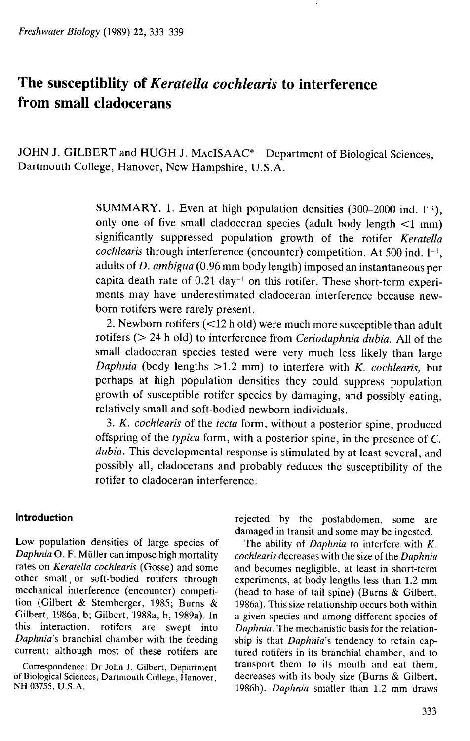# The susceptiblity of *Keratella cochlearis* to interference from small cladocerans

JOHN J. GILBERT and HUGH J. MACISAAC\* Department of Biological Sciences, Dartmouth College, Hanover, New Hampshire, U.S.A.

> SUMMARY. 1. Even at high population densities  $(300-2000 \text{ ind. } 1^{-1})$ . only one of five small cladoceran species (adult body length  $\leq 1$  mm) significantly suppressed population growth of the rotifer *Keratella cochlearis* through interference (encounter) competition. At 500 ind.  $l^{-1}$ , adults of D. *ambigua* (0.96 mm body length) imposed an instantaneous per capita death rate of 0.21 day-' on this rotifer. These short-term experiments may have underestimated cladoceran interference because newborn rotifers were rarely present.

> 2. Newborn rotifers (<12 h old) were much more susceptible than adult rotifers (> 24 h old) to interference from *Ceriodaphnia dubia.* All of the small cladoceran species tested were very much less likely than large *Daphnia* (body lengths >1.2 mm) to interfere with *K. cochlearis,* but perhaps at high population densities they could suppress population growth of susceptible rotifer species by damaging, and possibly eating, relatively small and soft-bodied newborn individuals.

> 3. *K. cochlearis* of the *tecta* form, without a posterior spine, produced offspring of the *typica* form, with a posterior spine, in the presence of C. *dubia.* This developmental response is stimulated by at least several, and possibly all, cladocerans and probably reduces the susceptibility of the rotifer to cladoceran interference.

Low population densities of large species of The ability of *Daphnia* to interfere with K.<br>*Daphnia* O. F. Müller can impose high mortality cochlearis decreases with the size of the *Daphnia* rates on *Keratella cochlearis* (Gosse) and some and becomes negligible, at least in short-term mechanical interference (encounter) competi- (head to base of tail spine) (Burns & Gilbert, tion (Gilbert & Stemberger, 1985; Burns & 1986a). This size relationship occurs both within Gilbert, 1986a, b; Gilbert, 1988a, b, 1989a). In a given species and among different species of this interaction, rotifers are swept into Daphnia. The mechanistic basis for the relation-*Daphnia's* branchial chamber with the feeding ship is that *Daphnia's* tendency to retain capcurrent; although most of these rotifers are tured rotifers in its branchial chamber, and to

of Biological Sciences, Dartmouth College, Hanover, decreases with its body size (Burns & Gilbert,

**Introduction introduction** rejected by the postabdomen, some are damaged in transit and some may be ingested.

cochlearis decreases with the size of the Daphnia experiments, at body lengths less than 1.2 mm Correspondence: Dr John J. Gilbert, Department transport them to its mouth and eat them, NH 03755, U.S.A. 1986b). *Daphnia* smaller than 1.2 mm draws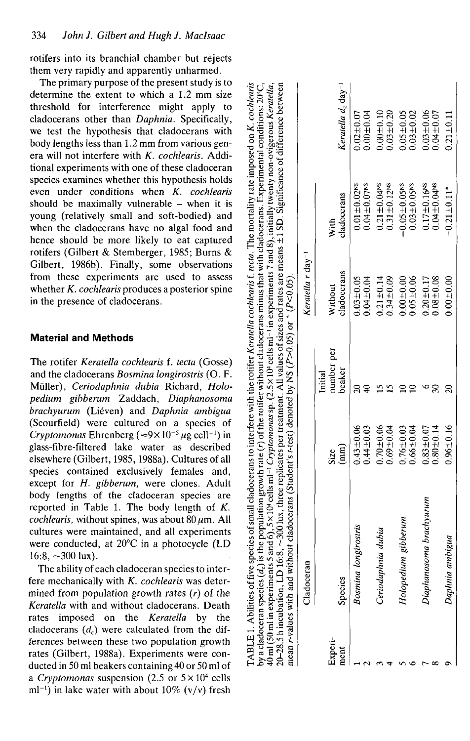rotifers into its branchial chamber but rejects them very rapidly and apparently unharmed.

The primary purpose of the present study is to determine the extent to which a 1.2 mm size threshold for interference might apply to cladocerans other than *Daphnia.* Specifically, we test the hypothesis that cladocerans with body lengths less than 1.2 mm from various genera will not interfere with *K. cochlearis.* Additional experiments with one of these cladoceran species examines whether this hypothesis holds even under conditions when *K. cochlearis* should be maximally vulnerable  $-$  when it is young (relatively small and soft-bodied) and when the cladocerans have no algal food and hence should be more likely to eat captured rotifers (Gilbert & Stemberger, 1985; Burns & Gilbert, 1986b). Finally, some observations from these experiments are used to assess whether *K. cochlearis* produces a posterior spine in the presence of cladocerans.

## **Material and Methods**

The rotifer *Keratella cochlearis* f. *tecta* (Gosse) and the cladocerans *Bosmina longirostris* (O. F. Muller), *Ceriodaphnia dubia* Richard, *Holopedium gibberum* Zaddach, *Diaphanosoma brachyurum* (Lieven) and *Daphnia ambigua* (Scourfield) were cultured on a species of *Cryptomonas* Ehrenberg ( $\approx 9 \times 10^{-5} \mu$ g cell<sup>-1</sup>) in glass-fibre-filtered lake water as described elsewhere (Gilbert, 1985,1988a). Cultures of all species contained exclusively females and, except for *H. gibberum,* were clones. Adult body lengths of the cladoceran species are reported in Table 1. The body length of *K. cochlearis,* without spines, was about  $80 \mu m$ . All cultures were maintained, and all experiments were conducted, at 20°C in a photocycle (LD 16:8,  $\sim$ 300 lux).

The ability of each cladoceran species to interfere mechanically with *K. cochlearis* was determined from population growth rates *(r)* of the *Keratella* with and without cladocerans. Death rates imposed on the *Keratella* by the cladocerans  $(d<sub>c</sub>)$  were calculated from the differences between these two population growth rates (Gilbert, 1988a). Experiments were conducted in 50 ml beakers containing 40 or 50 ml of a *Cryptomonas* suspension (2.5 or  $5 \times 10^4$  cells ml<sup>-1</sup>) in lake water with about 10% (v/v) fresh

| Experi- | Cladoceran              |                                 |                                 | Keratella r day <sup>-1</sup> |                                |                                            |
|---------|-------------------------|---------------------------------|---------------------------------|-------------------------------|--------------------------------|--------------------------------------------|
| ment    | Species                 | $\binom{mm}{\text{mm}}$<br>Size | number per<br>beaker<br>Initial | cladocerans<br>Without        | cladocerans<br>With            | Keratella d <sub>c</sub> day <sup>-1</sup> |
|         | ongirostris<br>Bosmina  | $0.43 \pm 0.06$                 |                                 | $0.03 \pm 0.05$               | $0.01 \pm 0.02$ <sup>NS</sup>  | $0.02 \pm 0.07$                            |
|         |                         | $0.44 \pm 0.03$                 |                                 | $0.04 \pm 0.04$               | $0.04 \pm 0.07$ <sup>NS</sup>  | 0.001004                                   |
|         | Ceriodaphnia dubia      | $0.70 + 0.06$                   |                                 | $0.21 \pm 0.14$               | $0.21 \pm 0.04$ <sup>NS</sup>  | $0.00 \pm 0.10$                            |
|         |                         | $0.69 + 0.04$                   |                                 | $0.34 + 0.09$                 | $0.31 \pm 0.12$ <sup>NS</sup>  | $0.03 + 0.20$                              |
|         | Holopedium gibberum     | $0.76 \pm 0.03$                 |                                 | $0.00 + 0.00$                 | $-0.05 \pm 0.05$ <sup>NS</sup> | $0.05 \pm 0.05$                            |
|         |                         | $0.66 \pm 0.04$                 |                                 | $0.05 \pm 0.06$               | $0.03 \pm 0.05$ <sup>NS</sup>  | $0.03 \pm 0.02$                            |
|         | Diaphanosoma brachyurum | $0.83 \pm 0.07$                 |                                 | $0.20 \pm 0.17$               | $0.17 \pm 0.16$ <sup>88</sup>  | $0.03 + 0.06$                              |
|         |                         | $0.80 \pm 0.14$                 |                                 | $0.08 + 0.08$                 | $0.04 \pm 0.04$ <sup>NS</sup>  | $0.04 \pm 0.07$                            |
|         | Daphnia ambigua         | $0.96 \pm 0.16$                 |                                 | $0.00 + 0.00$                 | $-0.21 \pm 0.11$ *             | $0.21 \pm 0.11$                            |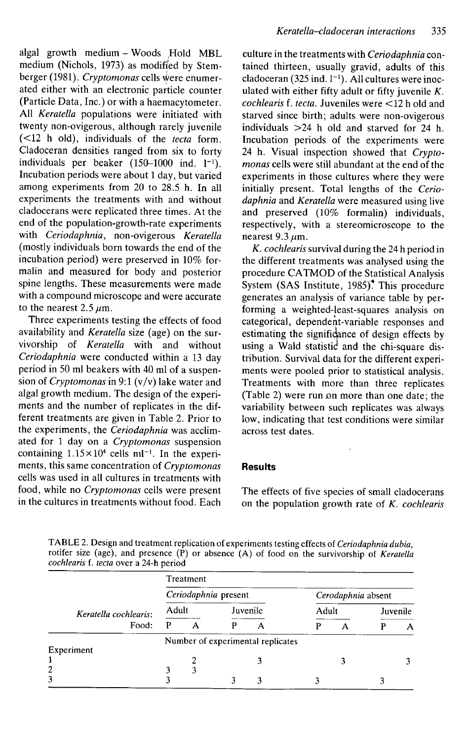algal growth medium - Woods Hold MBL medium (Nichols, 1973) as modified by Stemberger (1981). *Cryptomonas* cells \^ere enumerated either with an electronic particle counter (Particle Data, Inc.) or with a haemacytometer. All *Keratella* populations were initiated with twenty non-ovigerous, although rarely juvenile (<12 h old), individuals of the *tecta* form. Ciadoceran densities ranged from six to forty individuals per beaker  $(150-1000 \text{ ind. } l^{-1})$ . Incubation periods were about 1 day, but varied among experiments from 20 to 28.5 h. In all experiments the treatments with and without dadocerans were replicated three times. At the end of the population-growth-rate experiments with *Ceriodaphnia,* non-ovigerous *Keratella* (mostly individuals born towards the end of the incubation period) were preserved in 10% formalin and measured for body and posterior spine lengths. These measurements were made with a compound microscope and were accurate to the nearest  $2.5 \mu m$ .

Three experiments testing the effects of food availability and *Keratella* size (age) on the survivorship of *Keratella* with and without *Ceriodaphnia* were conducted within a 13 day period in 50 ml beakers with 40 ml of a suspension of *Cryptomonas* in 9:1 (v/v) lake water and algal growth medium. The design of the experiments and the number of replicates in the different treatments are given in Table 2. Prior to the experiments, the *Ceriodaphnia* was acclimated for 1 day on a *Cryptomonas* suspension containing  $1.15 \times 10^4$  cells ml<sup>-1</sup>. In the experiments, this same concentration of *Cryptomonas* cells was used in all cultures in treatments with food, while no *Cryptomonas* cells were present in the cultures in treatments without food. Each

culture in the treatments with *Ceriodaphnia* contained thirteen, usually gravid, adults of this ciadoceran (325 ind. 1~'). All cultures were inoculated with either fifty adult or fifty juvenile *K. cochlearis* f. *tecta.* Juveniles were <12 h old and starved since birth; adults were non-ovigerous individuals >24 h old and starved for 24 h. Incubation periods of the experiments were 24 h. Visual inspection showed that *Cryptomonas* cells were still abundant at the end of the experiments in those cultures where they were initially present. Total lengths of the *Ceriodaphnia* and *Keratella* were measured using live and preserved (10% formalin) individuals, respectively, with a stereomicroscope to the nearest  $9.3 \mu$ m.

*K. cochlearis* survival during the 24 h period in the different treatments was analysed using the procedure CATMOD of the Statistical Analysis System (SAS Institute, 1985)<sup>\*</sup> This procedure generates an analysis of variance table by performing a weighted-least-squares analysis on categorical, dependent-variable responses and estimating the significance of design effects by using a Wald statistic and the chi-square distribution. Survival data for the different experiments were pooled prior to statistical analysis. Treatments with more than three replicates (Table 2) were run on more than one date; the variability between such rephcates was always low, indicating that test conditions were similar across test dates.

### **Results**

The effects of five species of small dadocerans on the population growth rate of *K. cochlearis*

TABLE 2. Design and treatment replication of experiments testing effects of *Ceriodaphnia dubia,* rotifer size (age), and presence (P) or absence (A) of food on the survivorship of *Keratella cochlearis* f. *tecta* over a 24-h period

|                       |                      | Treatment |  |                                   |                    |       |  |          |  |
|-----------------------|----------------------|-----------|--|-----------------------------------|--------------------|-------|--|----------|--|
|                       | Ceriodaphnia present |           |  |                                   | Cerodaphnia absent |       |  |          |  |
| Keratella cochlearis: | Adult                |           |  | Juvenile                          |                    | Adult |  | Juvenile |  |
| Food:                 | P                    | А         |  | А                                 | р                  |       |  | А        |  |
|                       |                      |           |  | Number of experimental replicates |                    |       |  |          |  |
| Experiment            |                      |           |  |                                   |                    |       |  |          |  |
|                       |                      |           |  |                                   |                    |       |  |          |  |
| 2                     |                      |           |  |                                   |                    |       |  |          |  |
| 3                     |                      |           |  | 3                                 |                    |       |  |          |  |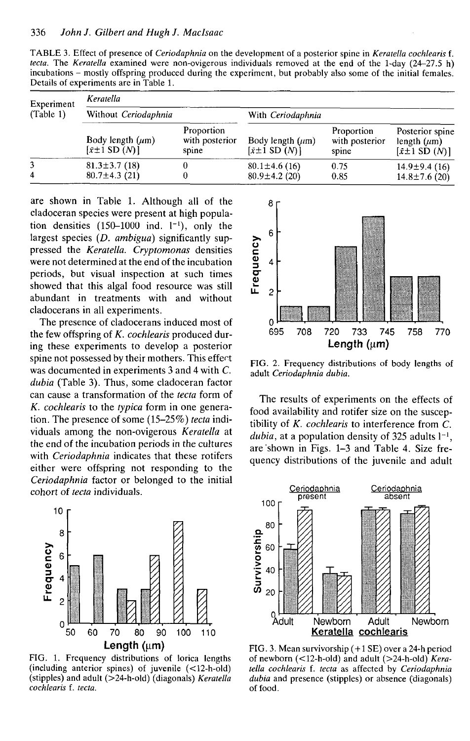| TABLE 3. Effect of presence of <i>Ceriodaphnia</i> on the development of a posterior spine in <i>Keratella cochlearis</i> f. |  |
|------------------------------------------------------------------------------------------------------------------------------|--|
| <i>tecta.</i> The <i>Keratella</i> examined were non-ovigerous individuals removed at the end of the 1-day $(24-27.5 h)$     |  |
| incubations – mostly offspring produced during the experiment, but probably also some of the initial females.                |  |
| Details of experiments are in Table 1.                                                                                       |  |

| Experiment<br>(Table 1) | Keratella                                                             |                                       |                                                                   |                                       |                                                                                 |  |  |  |
|-------------------------|-----------------------------------------------------------------------|---------------------------------------|-------------------------------------------------------------------|---------------------------------------|---------------------------------------------------------------------------------|--|--|--|
|                         | Without Ceriodaphnia                                                  |                                       | With Ceriodaphnia                                                 |                                       |                                                                                 |  |  |  |
|                         | Body length $(\mu m)$<br>$\left[\bar{x} \pm 1 \text{ SD } (N)\right]$ | Proportion<br>with posterior<br>spine | Body length $(\mu m)$<br>$\lceil \bar{x} \pm 1 \rceil$ SD $(N)$ ] | Proportion<br>with posterior<br>spine | Posterior spine<br>length $(\mu m)$<br>$\lceil \bar{x} \pm 1 \rceil$ SD $(N)$ ] |  |  |  |
| 3<br>4                  | $81.3 \pm 3.7(18)$<br>$80.7 \pm 4.3$ (21)                             |                                       | $80.1 \pm 4.6(16)$<br>$80.9 \pm 4.2$ (20)                         | 0.75<br>0.85                          | $14.9 \pm 9.4$ (16)<br>$14.8 \pm 7.6$ (20)                                      |  |  |  |

are shown in Table 1. Although all of the cladoceran species were present at high population densities  $(150-1000$  ind.  $1^{-1}$ ), only the largest species (D. *ambigua)* significantly suppressed the *Keratella. Cryptomonas* densities were not determined at the end of the incubation periods, but visual inspection at such times showed that this algal food resource was still abundant in treatments with and without cladocerans in all experiments.

The presence of cladocerans induced most of the few offspring of *K. cochlearis* produced during these experiments to develop a posterior spine not possessed by their mothers. This effect was documented in experiments 3 and 4 with C. *dubia* (Table 3). Thus, some cladoceran factor can cause a transformation of the *tecta* form of *K. cochlearis* to the *typica* form in one generation. The presence of some (15-25%) *tecta* individuals among the non-ovigerous *Keratella* at the end of the incubation periods in the cultures with *Ceriodaphnia* indicates that these rotifers either were offspring not responding to the *Ceriodaphnia* factor or belonged to the initial cohort of *tecta* individuals.



FIG. 1. Frequency distributions of lorica lengths (including anterior spines) of juvenile (<12-h-old) (stipples) and adult (>24-h-old) (diagonals) *Keratella cochlearis* f. *tecta.*



FIG. 2. Frequency distributions of body lengths of adult *Ceriodaphnia dubia.*

The results of experiments on the effects of food availability and rotifer size on the susceptibility of *K. cochlearis* to interference from C. *dubia*, at a population density of 325 adults  $l^{-1}$ , are shown in Figs. 1-3 and Table 4. Size frequency distributions of the juvenile and adult



FIG. 3. Mean survivorship (+1 SE) over a 24-h period of newborn (<12-h-old) and adult (>24-h-old) *Keratella cochlearis* f. *tecta* as affected by *Ceriodaphnia dubia* and presence (stipples) or absence (diagonals) of food.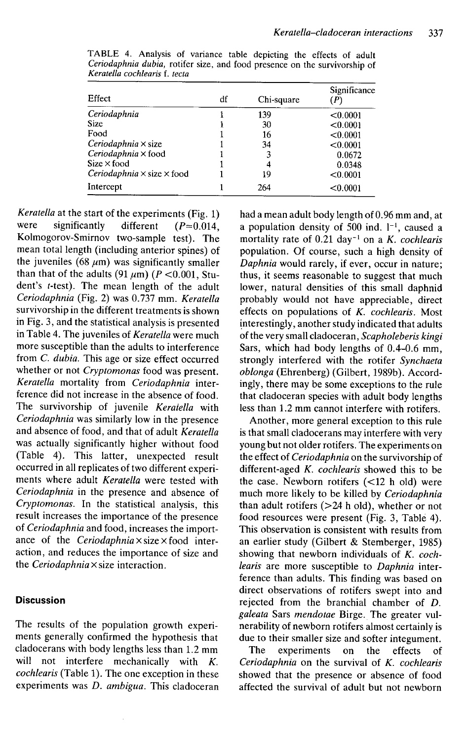| Effect                                   | df | Chi-square | Significance<br>(P |
|------------------------------------------|----|------------|--------------------|
| Ceriodaphnia                             |    | 139        | < 0.0001           |
| <b>Size</b>                              |    | 30         | < 0.0001           |
| Food                                     |    | 16         | < 0.0001           |
| $Ceriodaphnia \times size$               |    | 34         | < 0.0001           |
| Ceriodaphnia × food                      |    | 3          | 0.0672             |
| $Size \times food$                       |    | 4          | 0.0348             |
| Ceriodaphnia $\times$ size $\times$ food |    | 19         | < 0.0001           |
| Intercept                                |    | 264        | < 0.0001           |

TABLE 4. Analysis of variance table depicting the effects of adult *Ceriodaphnia dubia,* rotifer size, and food presence on the survivorship of *Keratelta cochlearis* f. *tecta*

*Keratella* at the start of the experiments (Fig. 1) were significantly different  $(P=0.014)$ . Kolmogorov-Smirnov two-sample test). The mean total length (including anterior spines) of the juveniles (68  $\mu$ m) was significantly smaller than that of the adults  $(91 \mu m)$  ( $P < 0.001$ , Student's *t-tesi).* The mean length of the adult *Ceriodaphnia* (Fig. 2) was 0.737 mm. *Keratella* survivorship in the different treatments is shown in Fig. 3, and the statistical analysis is presented in Table 4. The juveniles of *Keratella* were much more susceptible than the adults to interference from *C. dubia.* This age or size effect occurred whether or not *Cryptomonas* food was present. *Keratella* mortality from *Ceriodaphnia* interference did not increase in the absence of food. The survivorship of juvenile *Keraiella* with *Ceriodaphnia* was similarly low in the presence and absence of food, and that of adult *Keratella* was actually significantly higher without food (Table 4). This latter, unexpected result occurred in all replicates of two different experiments where adult *Keratella* were tested with *Ceriodaphnia* in the presence and absence of *Cryptomonas.* In the statistical analysis, this result increases the importance of the presence of *Ceriodaphnia* and food, increases the importance of the *Ceriodaphnia X size X food* interaction, and reduces the importance of size and the *Ceriodaphnia X size* interaction.

#### **Discussion**

The results of the population growth experiments generally confirmed the hypothesis that dadocerans with body lengths less than 1.2 mm will not interfere mechanically with *K. cochlearis* (Table 1). The one exception in these experiments was *D. ambigua.* This ciadoceran had a mean adult body length of 0.96 mm and, at a population density of 500 ind.  $l^{-1}$ , caused a mortality rate of 0.21 day<sup>-1</sup> on a *K. cochlearis* population. Of course, such a high density of *Daphnia* would rarely, if ever, occur in nature; thus, it seems reasonable to suggest that much lower, natural densities of this small daphnid probably would not have appreciable, direct effects on populations of *K. cochlearis.* Most interestingly, another study indicated that adults of the very small ciadoceran, *Seapholeberis kingi* Sars, which had body lengths of 0.4-0.6 mm, strongly interfered with the rotifer *Synchaeta oblonga* (Ehrenberg) (Gilbert, 1989b). Accordingly, there may be some exceptions to the rule that ciadoceran species with adult body lengths less than 1.2 mm cannot interfere with rotifers.

Another, more general exception to this rule is that small dadocerans may interfere with very young but not older rotifers. The experiments on the effect of *Ceriodaphnia* on the survivorship of different-aged *K. cochlearis* showed this to be the case. Newborn rotifers (<12 h old) were much more likely to be killed by *Ceriodaphnia* than adult rotifers  $(>=24$  h old), whether or not food resources were present (Fig. 3, Table 4). This observation is consistent with results from an earlier study (Gilbert & Stemberger, 1985) showing that newborn individuals of *K. cochlearis* are more susceptible to *Daphnia* interference than adults. This finding was based on direct observations of rotifers swept into and rejected from the branchial chamber of *D. galeata* Sars *mendotae* Birge. The greater vulnerability of newborn rotifers almost certainly is due to their smaller size and softer integument.

The experiments on the effects of *Ceriodaphnia* on the survival of *K. cochlearis* showed that the presence or absence of food affected the survival of adult but not newborn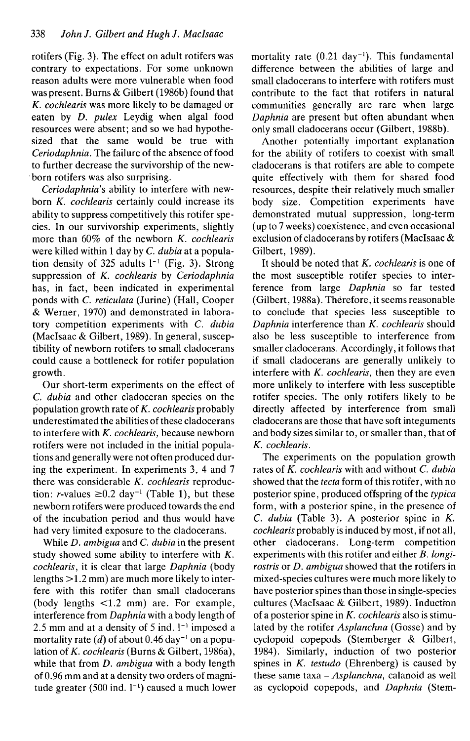rotifers (Fig. 3). The effect on adult rotifers was contrary to expectations. For some unknown reason adults were more vulnerable when food was present. Burns & Gilbert (1986b) found that *K. cochlearis* was more likely to be damaged or eaten by *D. pulex* Leydig when algal food resources were absent; and so we had hypothesized that the same would be true with *Ceriodaphnia.* The failure of the absence of food to further decrease the survivorship of the newborn rotifers was also surprising.

*Ceriodaphnia's* ability to interfere with newborn *K. cochlearis* certainly could increase its ability to suppress competitively this rotifer species. In our survivorship experiments, slightly more than 60% of the newborn *K. cochlearis* were killed within 1 day by C. *dubia* at a population density of 325 adults  $l^{-1}$  (Fig. 3). Strong suppression of *K. cochlearis* by *Ceriodaphnia* has, in fact, been indicated in experimental ponds with *C. reticulata* (Jurine) (Hall, Cooper & Werner, 1970) and demonstrated in laboratory competition experiments with *C. dubia* (Maclsaac & Gilbert, 1989). In general, susceptibility of newborn rotifers to small dadocerans could cause a bottleneck for rotifer population growth.

Our short-term experiments on the effect of C *dubia* and other ciadoceran species on the population growth rate of *K. cochlearis* probably underestimated the abilities of these dadocerans to interfere with *K. cochlearis,* because newborn rotifers were not included in the initial populations and generally were not often produced during the experiment. In experiments 3, 4 and 7 there was considerable *K. cochlearis* reproduction: r-values  $\geq 0.2$  day<sup>-1</sup> (Table 1), but these newborn rotifers were produced towards the end of the incubation period and thus would have had very limited exposure to the dadocerans.

While *D. ambigua* and C. *dubia* in the present study showed some ability to interfere with *K. cochlearis,* it is clear that large *Daphnia* (body lengths >1.2 mm) are much more likely to interfere with this rotifer than small dadocerans (body lengths <1.2 mm) are. For example, interference from *Daphnia* with a body length of 2.5 mm and at a density of 5 ind.  $1<sup>-1</sup>$  imposed a mortality rate  $(d)$  of about 0.46 day<sup>-1</sup> on a population of X. *cochlearis* (Burns & Gilbert, 1986a), while that from *D. ambigua* with a body length of 0.96 mm and at a density two orders of magnitude greater (500 ind.  $1^{-1}$ ) caused a much lower mortality rate  $(0.21 \text{ day}^{-1})$ . This fundamental difference between the abilities of large and small dadocerans to interfere with rotifers must contribute to the fact that rotifers in natural communities generally are rare when large *Daphnia* are present but often abundant when only small dadocerans occur (Gilbert, 1988b).

Another potentially important explanation for the ability of rotifers to coexist with small dadocerans is that rotifers are able to compete quite effectively with them for shared food resources, despite their relatively much smaller body size. Competition experiments have demonstrated mutual suppression, long-term (up to 7 weeks) coexistence, and even occasional exclusion of dadocerans by rotifers (Maclsaac & Gilbert, 1989).

It should be noted that *K. cochlearis* is one of the most susceptible rotifer species to interference from large *Daphnia* so far tested (Gilbert, 1988a). Therefore, it seems reasonable to conclude that species less susceptible to *Daphnia* interference than *K. cochlearis* should also be less susceptible to interference from smaller dadocerans. Accordingly, it follows that if small dadocerans are generally unlikely to interfere with *K. cochlearis,* then they are even more unlikely to interfere with less susceptible rotifer species. The only rotifers likely to be directly affected by interference from small dadocerans are those that have soft integuments and body sizes similar to, or smaller than, that of *K. cochlearis.*

The experiments on the population growth rates of *K. cochlearis* with and without C. *dubia* showed that the *tecta* form of this rotifer, with no posterior spine, produced offspring of the *typica* form, with a posterior spine, in the presence of *C. dubia* (Table 3). A posterior spine in *K. cochlearis* probably is induced by most, if not all, other dadocerans. Long-term competition experiments with this rotifer and either *B. longirostris* or *D. ambigua* showed that the rotifers in mixed-species cultures were much more likely to have posterior spines than those in single-species cultures (Maelsaac & Gilbert, 1989). Induction of a posterior spine in *K. cochlearis* also is stimulated by the rotifer *Asplanchna* (Gosse) and by cyclopoid copepods (Stemberger & Gilbert, 1984). Similarly, induction of two posterior spines in *K. testudo* (Ehrenberg) is caused by these same taxa - *Asplanchna,* calanoid as well as cyclopoid copepods, and *Daphnia* (Stem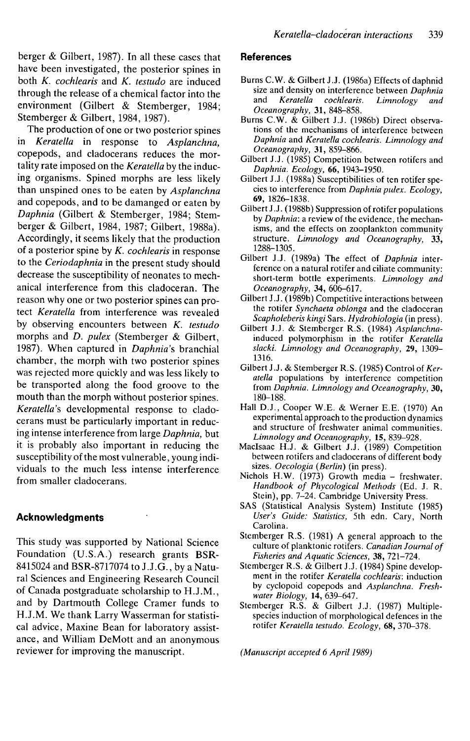berger & Gilbert, 1987). In all these cases that have been investigated, the posterior spines in both *K. cochlearis* and *K. testudo* are induced through the release of a chemical factor into the environment (Gilbert & Stemberger, 1984; Stemberger & Gilbert, 1984, 1987).

The production of one or two posterior spines in *Keratella* in response to *Asplanchna,* copepods, and dadocerans reduces the mortality rate imposed on the *Keratella* by the inducing organisms. Spined morphs are less likely than unspined ones to be eaten by *Asplanchna* and copepods, and to be damanged or eaten by *Daphnia* (Gilbert & Stemberger, 1984; Stemberger & Gilbert, 1984, 1987; Gilbert, 1988a). Accordingly, it seems likely that the production of a posterior spine by *K. cochlearis* in response to the *Ceriodaphnia* in the present study should decrease the susceptibility of neonates to mechanical interference from this ciadoceran. The reason why one or two posterior spines can protect *Keratella* from interference was revealed by observing encounters between *K. testudo* morphs and *D. pulex* (Stemberger & Gilbert, 1987). When captured in *Daphnia's* branchial chamber, the morph with two posterior spines was rejected more quickly and was less likely to be transported along the food groove to the mouth than the morph without posterior spines. Keratella's developmental response to cladocerans must be particularly important in reducing intense interference from large *Daphnia,* but it is probably also important in reducing the susceptibility of the most vulnerable, young individuals to the much less intense interference from smaller dadocerans.

# **Acknowledgments**

This study was supported by National Science Foundation (U.S.A.) research grants BSR-8415024 and BSR-8717074 to J.J.G., by a Natural Sciences and Engineering Research Council of Canada postgraduate scholarship to H.J.M., and by Dartmouth College Cramer funds to H.J.M. We thank Larry Wasserman for statistical advice, Maxine Bean for laboratory assistance, and William DeMott and an anonymous reviewer for improving the manuscript.

#### **References**

- Burns C.W. & Gilbert J.J. (1986a) Effects of daphnid size and density on interference between *Daphnia* cochlearis. Limnology and *Oceanography,* 31, 848-858.
- Burns C.W. & Gilbert J.J. (1986b) Direct observations of the mechanisms of interference between *Daphnia* and *Keratella cochlearis. Limnology and Oceanography,* 31, 859-866.
- Gilbert J.J. (1985) Competition between rotifers and *Daphnia. Ecology,* 66, 1943-1950.
- Gilbert J.J. (1988a) Susceptibilities of ten rotifer species to interference from *Daphnia pulex. Ecology,* 69, 1826-1838.
- Gilbert J.J. (1988b) Suppression of rotifer populations by *Daphnia:* a review of the evidence, the mechanisms, and the effects on zooplankton community structure. *Limnology and Oceanography,* 33, 1288-1305.
- Gilbert J.J. (1989a) The effect of *Daphnia* interference on a natural rotifer and ciliate community: short-term bottle experiments. *Limnology and Oceanography,* 34, 606-617.
- Gilbert J.J. (1989b) Competitive interactions between the rotifer *Synchaeta oblonga* and the ciadoceran *Seapholeberis kingi* Sars. *Hydrobiologia* (in press).
- Gilbert J.J. & Stemberger R.S. (1984) *Asplanchna*induced polymorphism in the rotifer *Keratella slacki. Limnology and Oceanography,* 29, 1309- 1316.
- Gilbert J.J. & Stemberger R.S. (1985) Control of Ker*atella* populations by interference competition from *Daphnia. Limnology and Oceanography,* 30, 180-188.
- Hall D.J., Cooper W.E. & Werner E.E. (1970) An experimental approach to the production dynamics and structure of freshwater animal communities. *Limnology and Oceanography,* IS, 839-928.
- Maclsaac H.J. & Gilbert J.J. (1989) Competition between rotifers and dadocerans of different body sizes. *Oecologia (Berlin)* (in press).
- Nichols H.W. (1973) Growth media freshwater. *Handbook of Phycological Methods* (Ed. J. R. Stein), pp. 7-24. Cambridge University Press.
- SAS (Statistical Analysis System) Institute (1985) *User's Guide: Statistics,* 5th edn. Cary, North Carolina.
- Stemberger R.S. (1981) A general approach to the culture of planktonic rotifers. *Canadian Journal of Fisheries and Aquatic Sciences,* 38, 721-724.
- Stemberger R.S. & Gilbert J.J. (1984) Spine development in the rotifer *Keratella cochlearis.* induction by cyclopoid copepods and *Asplanchna. Freshwater Biology,* 14, 639-647.
- Stemberger R.S. & Gilbert J.J. (1987) Multiplespecies induction of morphological defences in the rotifer *Keratella testudo. Ecology,* 68, 370-378.

*(Manuscript accepted 6 April 1989)*